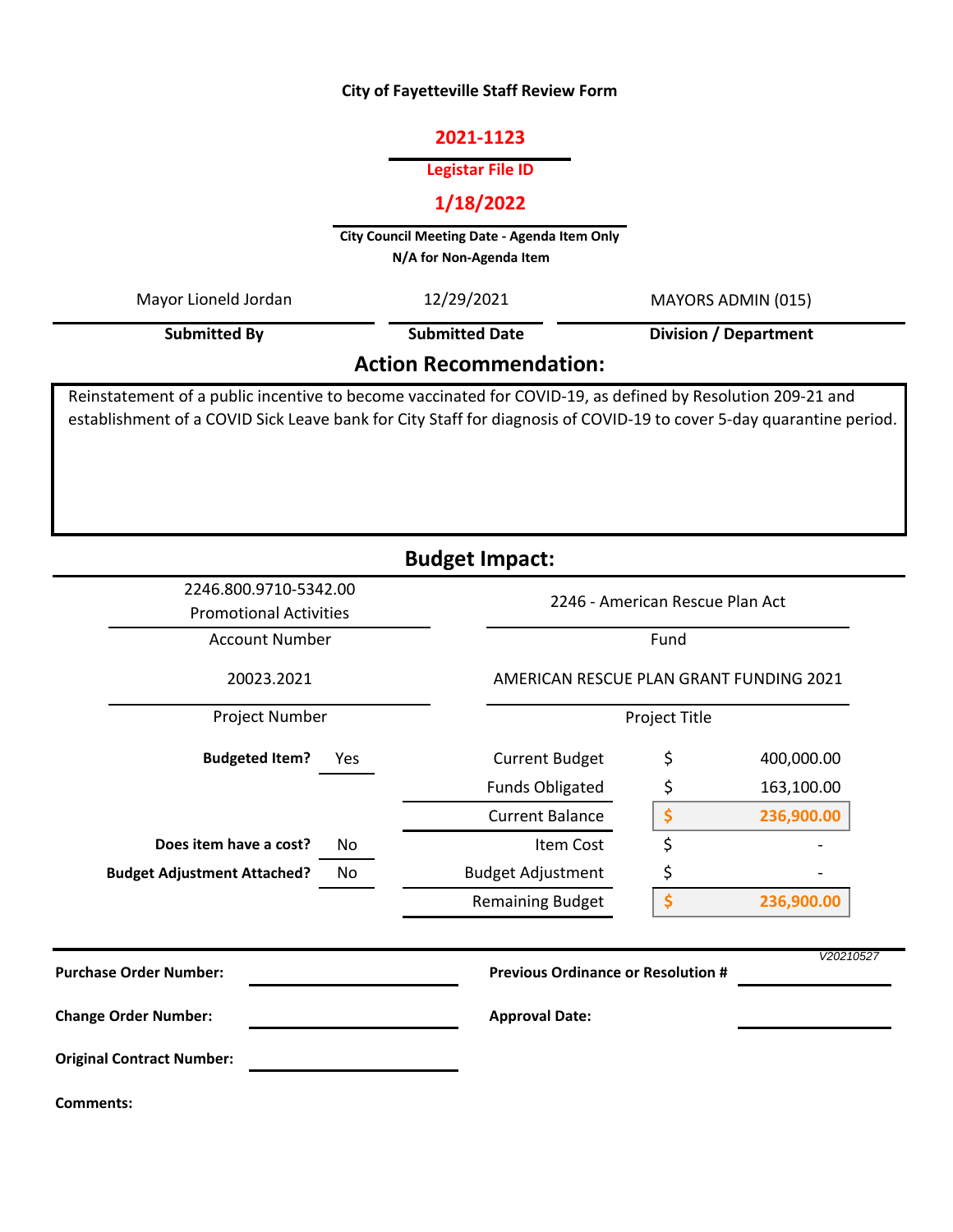#### **City of Fayetteville Staff Review Form**

# **2021-1123**

#### **Legistar File ID**

# **1/18/2022**

**City Council Meeting Date - Agenda Item Only N/A for Non-Agenda Item** 

| Mayor Lioneld Jordan          | 12/29/2021            | MAYORS ADMIN (015)           |  |  |  |  |
|-------------------------------|-----------------------|------------------------------|--|--|--|--|
| Submitted By                  | <b>Submitted Date</b> | <b>Division / Department</b> |  |  |  |  |
| <b>Action Recommendation:</b> |                       |                              |  |  |  |  |

Reinstatement of a public incentive to become vaccinated for COVID-19, as defined by Resolution 209-21 and establishment of a COVID Sick Leave bank for City Staff for diagnosis of COVID-19 to cover 5-day quarantine period.

| <b>Budget Impact:</b>              |                                                        |                          |                                                        |            |  |  |
|------------------------------------|--------------------------------------------------------|--------------------------|--------------------------------------------------------|------------|--|--|
|                                    | 2246.800.9710-5342.00<br><b>Promotional Activities</b> |                          | 2246 - American Rescue Plan Act                        |            |  |  |
|                                    | <b>Account Number</b>                                  |                          | Fund                                                   |            |  |  |
| 20023.2021                         |                                                        |                          | AMERICAN RESCUE PLAN GRANT FUNDING 2021                |            |  |  |
| Project Number                     |                                                        |                          | Project Title                                          |            |  |  |
| <b>Budgeted Item?</b>              | Yes                                                    | <b>Current Budget</b>    | \$                                                     | 400,000.00 |  |  |
|                                    |                                                        | <b>Funds Obligated</b>   | \$                                                     | 163,100.00 |  |  |
|                                    |                                                        | <b>Current Balance</b>   | \$                                                     | 236,900.00 |  |  |
| Does item have a cost?             | No                                                     | Item Cost                | \$                                                     |            |  |  |
| <b>Budget Adjustment Attached?</b> | No                                                     | <b>Budget Adjustment</b> | \$                                                     |            |  |  |
|                                    |                                                        | <b>Remaining Budget</b>  | \$                                                     | 236,900.00 |  |  |
| <b>Purchase Order Number:</b>      |                                                        |                          | V20210527<br><b>Previous Ordinance or Resolution #</b> |            |  |  |
| <b>Change Order Number:</b>        |                                                        | <b>Approval Date:</b>    |                                                        |            |  |  |
| <b>Original Contract Number:</b>   |                                                        |                          |                                                        |            |  |  |
| <b>Comments:</b>                   |                                                        |                          |                                                        |            |  |  |